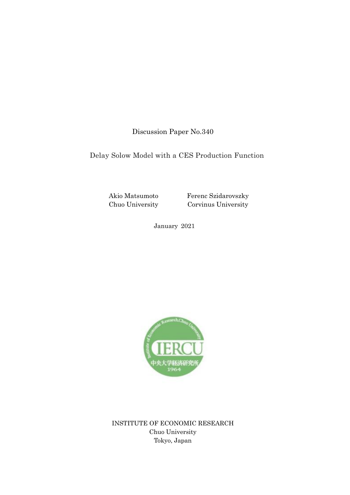Discussion Paper No.340

Delay Solow Model with a CES Production Function

Akio Matsumoto Chuo University

Ferenc Szidarovszky Corvinus University

January 2021



INSTITUTE OF ECONOMIC RESEARCH Chuo University Tokyo, Japan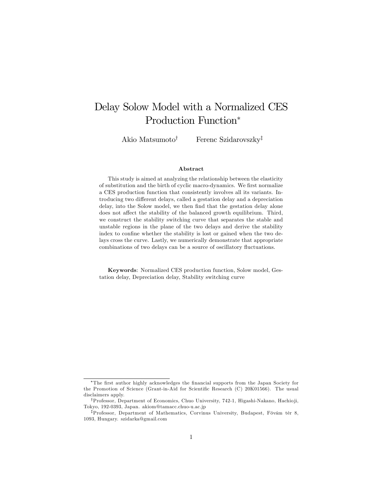# Delay Solow Model with a Normalized CES Production Function

Akio Matsumoto<sup>†</sup> Ferenc Szidarovszky<sup>‡</sup>

#### Abstract

This study is aimed at analyzing the relationship between the elasticity of substitution and the birth of cyclic macro-dynamics. We first normalize a CES production function that consistently involves all its variants. Introducing two different delays, called a gestation delay and a depreciation delay, into the Solow model, we then find that the gestation delay alone does not affect the stability of the balanced growth equilibrium. Third, we construct the stability switching curve that separates the stable and unstable regions in the plane of the two delays and derive the stability index to confine whether the stability is lost or gained when the two delays cross the curve. Lastly, we numerically demonstrate that appropriate combinations of two delays can be a source of oscillatory fluctuations.

Keywords: Normalized CES production function, Solow model, Gestation delay, Depreciation delay, Stability switching curve

<sup>\*</sup>The first author highly acknowledges the financial supports from the Japan Society for the Promotion of Science (Grant-in-Aid for Scientific Research  $(C)$  20K01566). The usual disclaimers apply.

<sup>&</sup>lt;sup>†</sup>Professor, Department of Economics, Chuo University, 742-1, Higashi-Nakano, Hachio ji, Tokyo, 192-0393, Japan. akiom@tamacc.chuo-u.ac.jp

<sup>&</sup>lt;sup>‡</sup>Professor, Department of Mathematics, Corvinus University, Budapest, Fövám tér 8, 1093, Hungary. szidarka@gmail.com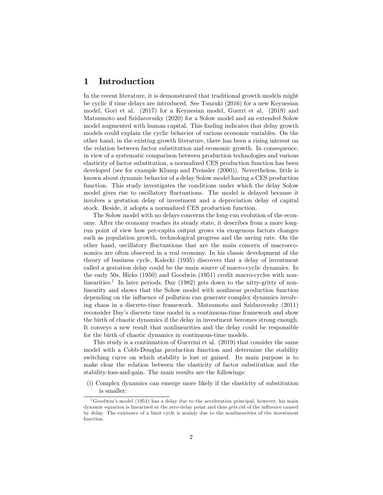# 1 Introduction

In the recent literature, it is demonstrated that traditional growth models might be cyclic if time delays are introduced. See Tsuzuki (2016) for a new Keynesian model, Gori et al. (2017) for a Keynesian model, Guerri et al. (2019) and Matsumoto and Szidarovszky (2020) for a Solow model and an extended Solow model augmented with human capital. This finding indicates that delay growth models could explain the cyclic behavior of various economic variables. On the other hand, in the existing growth literature, there has been a rising interest on the relation between factor substitution and economic growth. In consequence, in view of a systematic comparison between production technologies and various elasticity of factor substitution, a normalized CES production function has been developed (see for example Klump and Preissler (2000)). Nevertheless, little is known about dynamic behavior of a delay Solow model having a CES production function. This study investigates the conditions under which the delay Solow model gives rise to oscillatory fluctuations. The model is delayed because it involves a gestation delay of investment and a depreciation delay of capital stock. Beside, it adopts a normalized CES production function.

The Solow model with no delays concerns the long-run evolution of the economy. After the economy reaches its steady state, it describes from a more longrun point of view how per-capita output grows via exogenous factors changes such as population growth, technological progress and the saving rate. On the other hand, oscillatory fluctuations that are the main concern of macroeconomics are often observed in a real economy. In his classic development of the theory of business cycle, Kalecki (1935) discovers that a delay of investment called a gestation delay could be the main source of macro-cyclic dynamics. In the early 50s, Hicks (1950) and Goodwin (1951) credit macro-cycles with nonlinearities.<sup>1</sup> In later periods, Day (1982) gets down to the nitty-gritty of nonlinearity and shows that the Solow model with nonlinear production function depending on the influence of pollution can generate complex dynamics involving chaos in a discrete-time framework. Matsumoto and Szidarovszky (2011) reconsider Day's discrete time model in a continuous-time framework and show the birth of chaotic dynamics if the delay in investment becomes strong enough. It conveys a new result that nonlinearities and the delay could be responsible for the birth of chaotic dynamics in continuous-time models.

This study is a continuation of Guerrini et al. (2019) that consider the same model with a Cobb-Douglas production function and determine the stability switching curve on which stability is lost or gained. Its main purpose is to make clear the relation between the elasticity of factor substitution and the stability-loss-and-gain. The main results are the followings:

(i) Complex dynamics can emerge more likely if the elasticity of substitution is smaller;

 $1$ Goodwin's model (1951) has a delay due to the acceleration principal, however, his main dynamic equation is linearized at the zero-delay point and thus gets rid of the ináuence caused by delay. The existence of a limit cycle is mainly due to the nonlinearities of the investment function.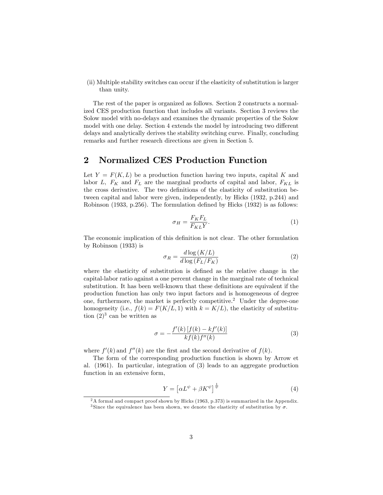(ii) Multiple stability switches can occur if the elasticity of substitution is larger than unity.

The rest of the paper is organized as follows. Section 2 constructs a normalized CES production function that includes all variants. Section 3 reviews the Solow model with no-delays and examines the dynamic properties of the Solow model with one delay. Section 4 extends the model by introducing two different delays and analytically derives the stability switching curve. Finally, concluding remarks and further research directions are given in Section 5.

## 2 Normalized CES Production Function

Let  $Y = F(K, L)$  be a production function having two inputs, capital K and labor  $L$ ,  $F_K$  and  $F_L$  are the marginal products of capital and labor,  $F_{KL}$  is the cross derivative. The two definitions of the elasticity of substitution between capital and labor were given, independently, by Hicks (1932, p.244) and Robinson (1933, p.256). The formulation defined by Hicks (1932) is as follows:

$$
\sigma_H = \frac{F_K F_L}{F_{KL} Y}.\tag{1}
$$

The economic implication of this definition is not clear. The other formulation by Robinson (1933) is

$$
\sigma_R = \frac{d \log \left( K/L \right)}{d \log \left( F_L / F_K \right)}\tag{2}
$$

where the elasticity of substitution is defined as the relative change in the capital-labor ratio against a one percent change in the marginal rate of technical substitution. It has been well-known that these definitions are equivalent if the production function has only two input factors and is homogeneous of degree one, furthermore, the market is perfectly competitive.<sup>2</sup> Under the degree-one homogeneity (i.e.,  $f(k) = F(K/L, 1)$  with  $k = K/L$ ), the elasticity of substitution  $(2)^3$  can be written as

$$
\sigma = -\frac{f'(k)[f(k) - kf'(k)]}{kf(k)f''(k)}\tag{3}
$$

where  $f'(k)$  and  $f''(k)$  are the first and the second derivative of  $f(k)$ .

The form of the corresponding production function is shown by Arrow et al. (1961). In particular, integration of (3) leads to an aggregate production function in an extensive form,

$$
Y = \left[ \alpha L^{\psi} + \beta K^{\psi} \right]^{\frac{1}{\psi}} \tag{4}
$$

<sup>&</sup>lt;sup>2</sup>A formal and compact proof shown by Hicks (1963, p.373) is summarized in the Appendix.

<sup>&</sup>lt;sup>3</sup> Since the equivalence has been shown, we denote the elasticity of substitution by  $\sigma$ .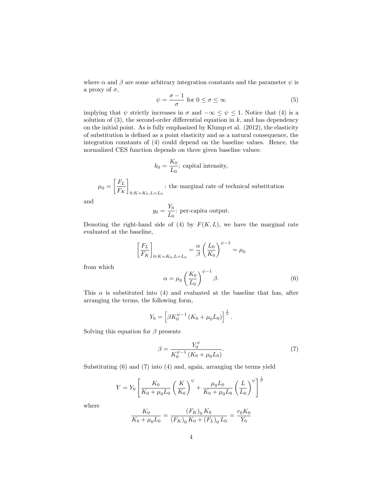where  $\alpha$  and  $\beta$  are some arbitrary integration constants and the parameter  $\psi$  is a proxy of  $\sigma$ ,

$$
\psi = \frac{\sigma - 1}{\sigma} \text{ for } 0 \le \sigma \le \infty \tag{5}
$$

implying that  $\psi$  strictly increases in  $\sigma$  and  $-\infty \leq \psi \leq 1$ . Notice that (4) is a solution of  $(3)$ , the second-order differential equation in k, and has dependency on the initial point. As is fully emphasized by Klump et al. (2012), the elasticity of substitution is deÖned as a point elasticity and as a natural consequence, the integration constants of (4) could depend on the baseline values. Hence, the normalized CES function depends on three given baseline values:

$$
k_0 = \frac{K_0}{L_0}
$$
: capital intensity,

 $\mu_0 =$  $\lceil F_L$  $F_K$ 1  $0:K=K_0,L=L_0$ : the marginal rate of technical substitution

and

$$
y_0 = \frac{Y_0}{L_0}
$$
: per-capita output.

Denoting the right-hand side of (4) by  $F(K, L)$ , we have the marginal rate evaluated at the baseline,

$$
\left[\frac{F_L}{F_K}\right]_{0:K=K_0,L=L_0} = \frac{\alpha}{\beta} \left(\frac{L_0}{K_0}\right)^{\psi-1} = \mu_0
$$

from which

$$
\alpha = \mu_0 \left(\frac{K_0}{L_0}\right)^{\psi - 1} \beta. \tag{6}
$$

This  $\alpha$  is substituted into (4) and evaluated at the baseline that has, after arranging the terms, the following form,

$$
Y_0 = \left[\beta K_0^{\psi - 1} \left( K_0 + \mu_0 L_0 \right) \right]^{\frac{1}{\psi}}.
$$

Solving this equation for  $\beta$  presents

$$
\beta = \frac{Y_0^{\psi}}{K_0^{\psi - 1} \left( K_0 + \mu_0 L_0 \right)}.
$$
\n(7)

Substituting (6) and (7) into (4) and, again, arranging the terms yield

$$
Y = Y_0 \left[ \frac{K_0}{K_0 + \mu_0 L_0} \left( \frac{K}{K_0} \right)^{\psi} + \frac{\mu_0 L_0}{K_0 + \mu_0 L_0} \left( \frac{L}{L_0} \right)^{\psi} \right]^{\frac{1}{\psi}}
$$

where

$$
\frac{K_0}{K_0 + \mu_0 L_0} = \frac{(F_K)_0 K_0}{(F_K)_0 K_0 + (F_L)_0 L_0} = \frac{r_0 K_0}{Y_0}
$$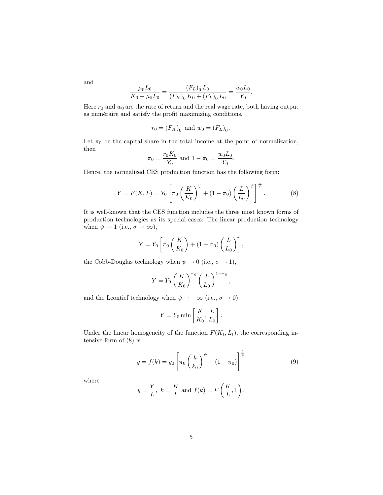and

$$
\frac{\mu_0 L_0}{K_0 + \mu_0 L_0} = \frac{(F_L)_0 L_0}{(F_K)_0 K_0 + (F_L)_0 L_0} = \frac{w_0 L_0}{Y_0}.
$$

Here  $r_0$  and  $w_0$  are the rate of return and the real wage rate, both having output as numéraire and satisfy the profit maximizing conditions,

$$
r_0 = (F_K)_0
$$
 and  $w_0 = (F_L)_0$ .

Let  $\pi_0$  be the capital share in the total income at the point of normalization, then

$$
\pi_0 = \frac{r_0 K_0}{Y_0}
$$
 and  $1 - \pi_0 = \frac{w_0 L_0}{Y_0}$ .

Hence, the normalized CES production function has the following form:

$$
Y = F(K, L) = Y_0 \left[ \pi_0 \left( \frac{K}{K_0} \right)^{\psi} + (1 - \pi_0) \left( \frac{L}{L_0} \right)^{\psi} \right]^{\frac{1}{\psi}}.
$$
 (8)

It is well-known that the CES function includes the three most known forms of production technologies as its special cases: The linear production technology when  $\psi \to 1$  (i.e.,  $\sigma \to \infty$ ),

$$
Y = Y_0 \left[ \pi_0 \left( \frac{K}{K_0} \right) + (1 - \pi_0) \left( \frac{L}{L_0} \right) \right],
$$

the Cobb-Douglas technology when  $\psi \to 0$  (i.e.,  $\sigma \to 1$ ),

$$
Y = Y_0 \left(\frac{K}{K_0}\right)^{\pi_0} \left(\frac{L}{L_0}\right)^{1-\pi_0},
$$

and the Leontief technology when  $\psi \to -\infty$  (i.e.,  $\sigma \to 0$ ).

$$
Y = Y_0 \min \left[ \frac{K}{K_0}, \frac{L}{L_0} \right].
$$

Under the linear homogeneity of the function  $F(K_t, L_t)$ , the corresponding intensive form of (8) is

$$
y = f(k) = y_0 \left[ \pi_0 \left( \frac{k}{k_0} \right)^{\psi} + (1 - \pi_0) \right]^{\frac{1}{\psi}} \tag{9}
$$

where

$$
y = \frac{Y}{L}
$$
,  $k = \frac{K}{L}$  and  $f(k) = F\left(\frac{K}{L}, 1\right)$ .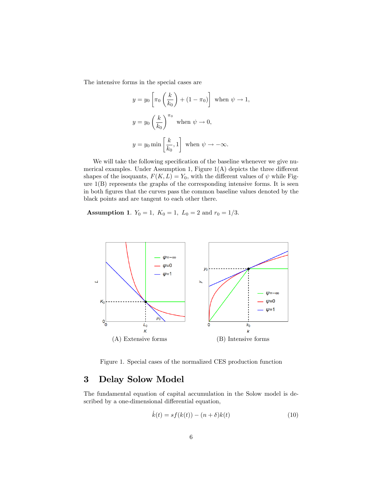The intensive forms in the special cases are

$$
y = y_0 \left[ \pi_0 \left( \frac{k}{k_0} \right) + (1 - \pi_0) \right] \text{ when } \psi \to 1,
$$
  

$$
y = y_0 \left( \frac{k}{k_0} \right)^{\pi_0} \text{ when } \psi \to 0,
$$
  

$$
y = y_0 \min \left[ \frac{k}{k_0}, 1 \right] \text{ when } \psi \to -\infty.
$$

We will take the following specification of the baseline whenever we give numerical examples. Under Assumption 1, Figure  $1(A)$  depicts the three different shapes of the isoquants,  $F(K, L) = Y_0$ , with the different values of  $\psi$  while Figure  $1(B)$  represents the graphs of the corresponding intensive forms. It is seen in both Ögures that the curves pass the common baseline values denoted by the black points and are tangent to each other there.

**Assumption 1.**  $Y_0 = 1$ ,  $K_0 = 1$ ,  $L_0 = 2$  and  $r_0 = 1/3$ .



Figure 1. Special cases of the normalized CES production function

# 3 Delay Solow Model

The fundamental equation of capital accumulation in the Solow model is described by a one-dimensional differential equation,

$$
\dot{k}(t) = sf(k(t)) - (n+\delta)k(t)
$$
\n(10)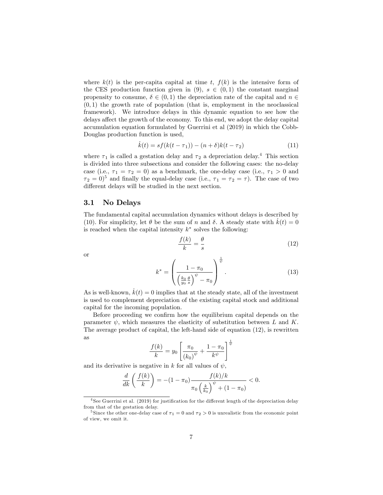where  $k(t)$  is the per-capita capital at time t,  $f(k)$  is the intensive form of the CES production function given in  $(9)$ ,  $s \in (0, 1)$  the constant marginal propensity to consume,  $\delta \in (0,1)$  the depreciation rate of the capital and  $n \in$  $(0, 1)$  the growth rate of population (that is, employment in the neoclassical framework). We introduce delays in this dynamic equation to see how the delays affect the growth of the economy. To this end, we adopt the delay capital accumulation equation formulated by Guerrini et al (2019) in which the Cobb-Douglas production function is used,

$$
\dot{k}(t) = sf(k(t - \tau_1)) - (n + \delta)k(t - \tau_2)
$$
\n(11)

where  $\tau_1$  is called a gestation delay and  $\tau_2$  a depreciation delay.<sup>4</sup> This section is divided into three subsections and consider the following cases: the no-delay case (i.e.,  $\tau_1 = \tau_2 = 0$ ) as a benchmark, the one-delay case (i.e.,  $\tau_1 > 0$  and  $\tau_2 = 0$ <sup>5</sup> and finally the equal-delay case (i.e.,  $\tau_1 = \tau_2 = \tau$ ). The case of two different delays will be studied in the next section.

### 3.1 No Delays

The fundamental capital accumulation dynamics without delays is described by (10). For simplicity, let  $\theta$  be the sum of n and  $\delta$ . A steady state with  $k(t) = 0$ is reached when the capital intensity  $k^*$  solves the following:

$$
\frac{f(k)}{k} = \frac{\theta}{s} \tag{12}
$$

or

$$
k^* = \left(\frac{1-\pi_0}{\left(\frac{k_0 \theta}{y_0 \ s}\right)^{\psi} - \pi_0}\right)^{\frac{1}{\psi}}.\tag{13}
$$

As is well-known,  $k(t) = 0$  implies that at the steady state, all of the investment is used to complement depreciation of the existing capital stock and additional capital for the incoming population.

Before proceeding we confirm how the equilibrium capital depends on the parameter  $\psi$ , which measures the elasticity of substitution between L and K. The average product of capital, the left-hand side of equation (12), is rewritten as

$$
\frac{f(k)}{k} = y_0 \left[ \frac{\pi_0}{(k_0)^{\psi}} + \frac{1 - \pi_0}{k^{\psi}} \right]^{\frac{1}{\psi}}
$$

and its derivative is negative in k for all values of  $\psi$ ,

$$
\frac{d}{dk}\left(\frac{f(k)}{k}\right) = -(1-\pi_0)\frac{f(k)/k}{\pi_0\left(\frac{k}{k_0}\right)^{\psi} + (1-\pi_0)} < 0.
$$

 $4$  See Guerrini et al. (2019) for justification for the different length of the depreciation delay from that of the gestation delay.

<sup>&</sup>lt;sup>5</sup> Since the other one-delay case of  $\tau_1 = 0$  and  $\tau_2 > 0$  is unrealistic from the economic point of view, we omit it.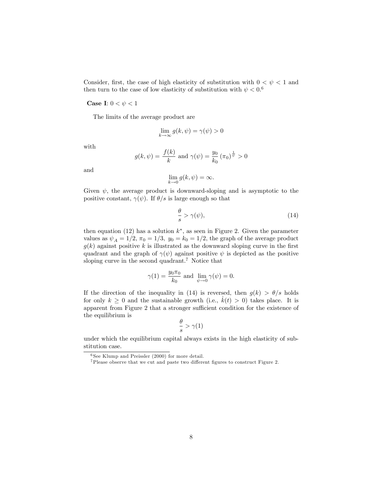Consider, first, the case of high elasticity of substitution with  $0 < \psi < 1$  and then turn to the case of low elasticity of substitution with  $\psi < 0.6$ 

Case I:  $0 < \psi < 1$ 

The limits of the average product are

$$
\lim_{k \to \infty} g(k, \psi) = \gamma(\psi) > 0
$$

with

$$
g(k, \psi) = \frac{f(k)}{k}
$$
 and  $\gamma(\psi) = \frac{y_0}{k_0} (\pi_0)^{\frac{1}{\psi}} > 0$ 

and

$$
\lim_{k \to 0} g(k, \psi) = \infty.
$$

Given  $\psi$ , the average product is downward-sloping and is asymptotic to the positive constant,  $\gamma(\psi)$ . If  $\theta/s$  is large enough so that

$$
\frac{\theta}{s} > \gamma(\psi),\tag{14}
$$

then equation (12) has a solution  $k^*$ , as seen in Figure 2. Given the parameter values as  $\psi_A = 1/2$ ,  $\pi_0 = 1/3$ ,  $y_0 = k_0 = 1/2$ , the graph of the average product  $g(k)$  against positive k is illustrated as the downward sloping curve in the first quadrant and the graph of  $\gamma(\psi)$  against positive  $\psi$  is depicted as the positive sloping curve in the second quadrant.<sup>7</sup> Notice that

$$
\gamma(1) = \frac{y_0 \pi_0}{k_0}
$$
 and  $\lim_{\psi \to 0} \gamma(\psi) = 0$ .

If the direction of the inequality in (14) is reversed, then  $g(k) > \theta/s$  holds for only  $k \geq 0$  and the sustainable growth (i.e.,  $k(t) > 0$ ) takes place. It is apparent from Figure 2 that a stronger sufficient condition for the existence of the equilibrium is

$$
\frac{\theta}{s} > \gamma(1)
$$

under which the equilibrium capital always exists in the high elasticity of substitution case.

<sup>6</sup> See Klump and Preissler (2000) for more detail.

 $7$ Please observe that we cut and paste two different figures to construct Figure 2.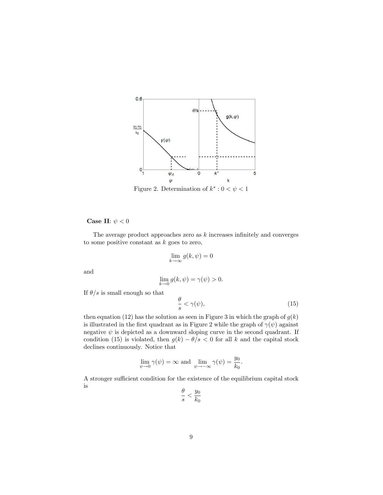

Figure 2. Determination of  $k^* : 0 < \psi < 1$ 

Case II:  $\psi < 0$ 

The average product approaches zero as  $k$  increases infinitely and converges to some positive constant as  $k$  goes to zero,

$$
\lim_{k \to \infty} g(k, \psi) = 0
$$

and

$$
\lim_{k \to 0} g(k, \psi) = \gamma(\psi) > 0.
$$

If  $\theta/s$  is small enough so that

$$
\frac{\theta}{s} < \gamma(\psi),\tag{15}
$$

then equation (12) has the solution as seen in Figure 3 in which the graph of  $g(k)$ is illustrated in the first quadrant as in Figure 2 while the graph of  $\gamma(\psi)$  against negative  $\psi$  is depicted as a downward sloping curve in the second quadrant. If condition (15) is violated, then  $g(k) - \theta/s < 0$  for all k and the capital stock declines continuously. Notice that

$$
\lim_{\psi \to 0} \gamma(\psi) = \infty \text{ and } \lim_{\psi \to -\infty} \gamma(\psi) = \frac{y_0}{k_0}.
$$

A stronger sufficient condition for the existence of the equilibrium capital stock is

$$
\frac{\theta}{s} < \frac{y_0}{k_0}
$$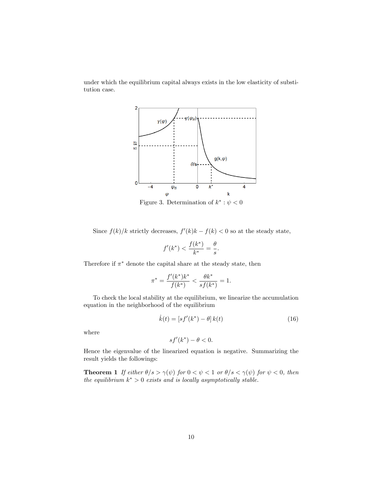under which the equilibrium capital always exists in the low elasticity of substitution case.



Figure 3. Determination of  $k^*$ :  $\psi$  < 0

Since  $f(k)/k$  strictly decreases,  $f'(k)k - f(k) < 0$  so at the steady state,

$$
f'(k^*) < \frac{f(k^*)}{k^*} = \frac{\theta}{s}.
$$

Therefore if  $\pi^*$  denote the capital share at the steady state, then

$$
\pi^* = \frac{f'(k^*)k^*}{f(k^*)} < \frac{\theta k^*}{sf(k^*)} = 1.
$$

To check the local stability at the equilibrium, we linearize the accumulation equation in the neighborhood of the equilibrium

$$
\dot{k}(t) = [sf'(k^*) - \theta] k(t)
$$
\n(16)

where

$$
sf'(k^*) - \theta < 0.
$$

Hence the eigenvalue of the linearized equation is negative. Summarizing the result yields the followings:

**Theorem 1** If either  $\theta/s > \gamma(\psi)$  for  $0 < \psi < 1$  or  $\theta/s < \gamma(\psi)$  for  $\psi < 0$ , then the equilibrium  $k^* > 0$  exists and is locally asymptotically stable.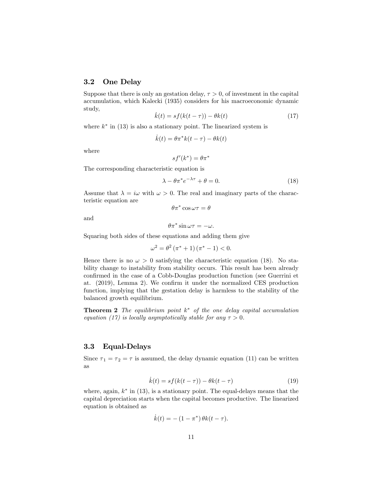## 3.2 One Delay

Suppose that there is only an gestation delay,  $\tau > 0$ , of investment in the capital accumulation, which Kalecki (1935) considers for his macroeconomic dynamic study,

$$
\dot{k}(t) = sf(k(t - \tau)) - \theta k(t) \tag{17}
$$

where  $k^*$  in (13) is also a stationary point. The linearized system is

$$
\dot{k}(t) = \theta \pi^* k(t - \tau) - \theta k(t)
$$

where

$$
sf'(k^*) = \theta \pi^*
$$

The corresponding characteristic equation is

$$
\lambda - \theta \pi^* e^{-\lambda \tau} + \theta = 0. \tag{18}
$$

Assume that  $\lambda = i\omega$  with  $\omega > 0$ . The real and imaginary parts of the characteristic equation are  $\theta \pi^* \cos \omega \tau = \theta$ 

and

$$
\theta \pi^* \sin \omega \tau = -\omega.
$$

Squaring both sides of these equations and adding them give

$$
\omega^2 = \theta^2 (\pi^* + 1) (\pi^* - 1) < 0.
$$

Hence there is no  $\omega > 0$  satisfying the characteristic equation (18). No stability change to instability from stability occurs. This result has been already confirmed in the case of a Cobb-Douglas production function (see Guerrini et at.  $(2019)$ , Lemma 2). We confirm it under the normalized CES production function, implying that the gestation delay is harmless to the stability of the balanced growth equilibrium.

**Theorem 2** The equilibrium point  $k^*$  of the one delay capital accumulation equation (17) is locally asymptotically stable for any  $\tau > 0$ .

## 3.3 Equal-Delays

Since  $\tau_1 = \tau_2 = \tau$  is assumed, the delay dynamic equation (11) can be written as

$$
\dot{k}(t) = sf(k(t-\tau)) - \theta k(t-\tau) \tag{19}
$$

where, again,  $k^*$  in (13), is a stationary point. The equal-delays means that the capital depreciation starts when the capital becomes productive. The linearized equation is obtained as

$$
\dot{k}(t) = -(1 - \pi^*) \theta k(t - \tau).
$$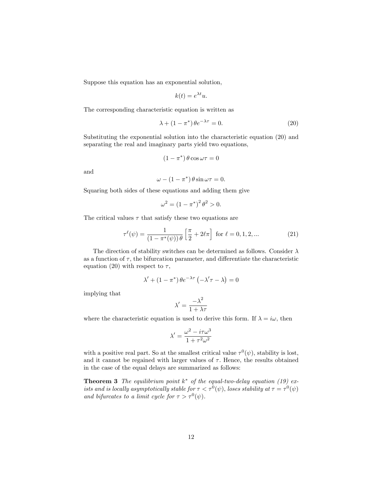Suppose this equation has an exponential solution,

$$
k(t) = e^{\lambda t}u.
$$

The corresponding characteristic equation is written as

$$
\lambda + (1 - \pi^*) \theta e^{-\lambda \tau} = 0. \tag{20}
$$

Substituting the exponential solution into the characteristic equation (20) and separating the real and imaginary parts yield two equations,

$$
(1 - \pi^*) \theta \cos \omega \tau = 0
$$

and

$$
\omega - (1 - \pi^*) \theta \sin \omega \tau = 0.
$$

Squaring both sides of these equations and adding them give

$$
\omega^2 = (1 - \pi^*)^2 \theta^2 > 0.
$$

The critical values  $\tau$  that satisfy these two equations are

$$
\tau^{\ell}(\psi) = \frac{1}{(1 - \pi^*(\psi)) \theta} \left[ \frac{\pi}{2} + 2\ell\pi \right] \text{ for } \ell = 0, 1, 2, ... \tag{21}
$$

The direction of stability switches can be determined as follows. Consider  $\lambda$ as a function of  $\tau$ , the bifurcation parameter, and differentiate the characteristic equation (20) with respect to  $\tau$ ,

$$
\lambda' + (1 - \pi^*) \theta e^{-\lambda \tau} \left( -\lambda' \tau - \lambda \right) = 0
$$

implying that

$$
\lambda'=\frac{-\lambda^2}{1+\lambda\tau}
$$

where the characteristic equation is used to derive this form. If  $\lambda = i\omega$ , then

$$
\lambda'=\frac{\omega^2-i\tau\omega^3}{1+\tau^2\omega^2}
$$

with a positive real part. So at the smallest critical value  $\tau^0(\psi)$ , stability is lost, and it cannot be regained with larger values of  $\tau$ . Hence, the results obtained in the case of the equal delays are summarized as follows:

**Theorem 3** The equilibrium point  $k^*$  of the equal-two-delay equation (19) exists and is locally asymptotically stable for  $\tau < \tau^0(\psi)$ , loses stability at  $\tau = \tau^0(\psi)$ and bifurcates to a limit cycle for  $\tau > \tau^0(\psi)$ .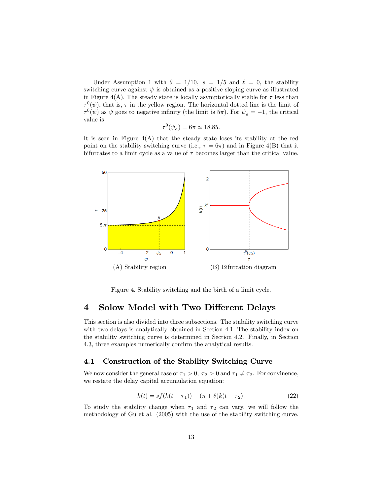Under Assumption 1 with  $\theta = 1/10$ ,  $s = 1/5$  and  $\ell = 0$ , the stability switching curve against  $\psi$  is obtained as a positive sloping curve as illustrated in Figure 4(A). The steady state is locally asymptotically stable for  $\tau$  less than  $\tau^0(\psi)$ , that is,  $\tau$  in the yellow region. The horizontal dotted line is the limit of  $\tau^0(\psi)$  as  $\psi$  goes to negative infinity (the limit is  $5\pi$ ). For  $\psi_a = -1$ , the critical value is

$$
\tau^0(\psi_a) = 6\pi \simeq 18.85.
$$

It is seen in Figure  $4(A)$  that the steady state loses its stability at the red point on the stability switching curve (i.e.,  $\tau = 6\pi$ ) and in Figure 4(B) that it bifurcates to a limit cycle as a value of  $\tau$  becomes larger than the critical value.



Figure 4. Stability switching and the birth of a limit cycle.

# 4 Solow Model with Two Different Delays

This section is also divided into three subsections. The stability switching curve with two delays is analytically obtained in Section 4.1. The stability index on the stability switching curve is determined in Section 4.2. Finally, in Section 4.3, three examples numerically confirm the analytical results.

### 4.1 Construction of the Stability Switching Curve

We now consider the general case of  $\tau_1 > 0$ ,  $\tau_2 > 0$  and  $\tau_1 \neq \tau_2$ . For convinence, we restate the delay capital accumulation equation:

$$
\dot{k}(t) = sf(k(t - \tau_1)) - (n + \delta)k(t - \tau_2).
$$
 (22)

To study the stability change when  $\tau_1$  and  $\tau_2$  can vary, we will follow the methodology of Gu et al. (2005) with the use of the stability switching curve.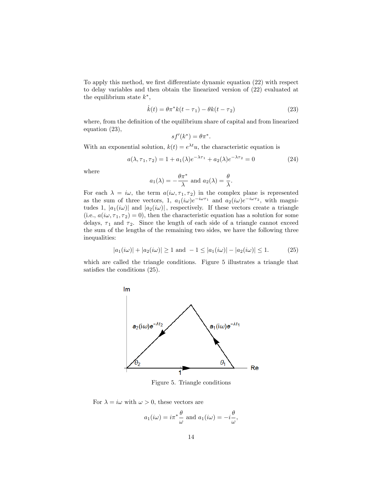To apply this method, we first differentiate dynamic equation (22) with respect to delay variables and then obtain the linearized version of (22) evaluated at the equilibrium state  $k^*$ ,

$$
\dot{k}(t) = \theta \pi^* k(t - \tau_1) - \theta k(t - \tau_2)
$$
\n(23)

where, from the definition of the equilibrium share of capital and from linearized equation (23),

$$
sf'(k^*) = \theta \pi^*.
$$

With an exponential solution,  $k(t) = e^{\lambda t}u$ , the characteristic equation is

$$
a(\lambda, \tau_1, \tau_2) = 1 + a_1(\lambda)e^{-\lambda \tau_1} + a_2(\lambda)e^{-\lambda \tau_2} = 0
$$
 (24)

where

$$
a_1(\lambda) = -\frac{\theta \pi^*}{\lambda}
$$
 and  $a_2(\lambda) = \frac{\theta}{\lambda}$ .

For each  $\lambda = i\omega$ , the term  $a(i\omega, \tau_1, \tau_2)$  in the complex plane is represented as the sum of three vectors, 1,  $a_1(i\omega)e^{-i\omega\tau_1}$  and  $a_2(i\omega)e^{-i\omega\tau_2}$ , with magnitudes 1,  $|a_1(i\omega)|$  and  $|a_2(i\omega)|$ , respectively. If these vectors create a triangle (i.e.,  $a(i\omega, \tau_1, \tau_2) = 0$ ), then the characteristic equation has a solution for some delays,  $\tau_1$  and  $\tau_2$ . Since the length of each side of a triangle cannot exceed the sum of the lengths of the remaining two sides, we have the following three inequalities:

$$
|a_1(i\omega)| + |a_2(i\omega)| \ge 1 \text{ and } -1 \le |a_1(i\omega)| - |a_2(i\omega)| \le 1. \tag{25}
$$

which are called the triangle conditions. Figure 5 illustrates a triangle that satisfies the conditions  $(25)$ .



Figure 5. Triangle conditions

For  $\lambda = i\omega$  with  $\omega > 0$ , these vectors are

$$
a_1(i\omega) = i\pi^* \frac{\theta}{\omega}
$$
 and  $a_1(i\omega) = -i\frac{\theta}{\omega}$ ,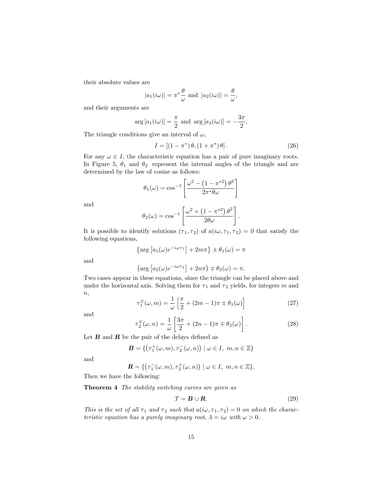their absolute values are

$$
|a_1(i\omega)| = \pi^* \frac{\theta}{\omega}
$$
 and  $|a_2(i\omega)| = \frac{\theta}{\omega}$ ,

and their arguments are

$$
\arg [a_1(i\omega)] = \frac{\pi}{2} \text{ and } \arg [a_3(i\omega)] = -\frac{3\pi}{2}.
$$

The triangle conditions give an interval of  $\omega$ ,

$$
I = [(1 - \pi^*) \theta, (1 + \pi^*) \theta]. \tag{26}
$$

For any  $\omega \in I$ , the characteristic equation has a pair of pure imaginary roots. In Figure 5,  $\theta_1$  and  $\theta_2$  represent the internal angles of the triangle and are determined by the law of cosine as follows:

$$
\theta_1(\omega) = \cos^{-1}\left[\frac{\omega^2 - \left(1 - \pi^{*2}\right)\theta^2}{2\pi^*\theta\omega}\right]
$$

and

$$
\theta_2(\omega) = \cos^{-1}\left[\frac{\omega^2 + \left(1 - \pi^{*2}\right)\theta^2}{2\theta\omega}\right].
$$

It is possible to identify solutions  $(\tau_1, \tau_2)$  of  $a(i\omega, \tau_1, \tau_2) = 0$  that satisfy the following equations,

$$
\left\{\arg\left[a_1(\omega)e^{-i\omega\tau_1}\right] + 2m\pi\right\} \pm \theta_1(\omega) = \pi
$$

and

$$
\left(\arg\left[a_2(\omega)e^{-i\omega\tau_2}\right]+2n\pi\right)\mp\theta_2(\omega)=\pi.
$$

Two cases appear in these equations, since the triangle can be placed above and under the horizontal axis. Solving them for  $\tau_1$  and  $\tau_2$  yields, for integers m and  $n,$ 

$$
\tau_1^{\pm}(\omega, m) = \frac{1}{\omega} \left[ \frac{\pi}{2} + (2m - 1)\pi \pm \theta_1(\omega) \right]
$$
 (27)

and

$$
\tau_2^{\pm}(\omega, n) = \frac{1}{\omega} \left[ \frac{3\pi}{2} + (2n - 1)\pi \mp \theta_2(\omega) \right]. \tag{28}
$$

Let  $B$  and  $R$  be the pair of the delays defined as

$$
\mathbf{B} = \{ \left( \tau_1^+(\omega, m), \tau_2^-(\omega, n) \right) \mid \omega \in I, \ m, n \in \mathbb{Z} \}
$$

and

$$
\mathbf{R} = \{ \left( \tau_1^-(\omega, m), \tau_2^+(\omega, n) \right) \mid \omega \in I, \ m, n \in \mathbb{Z} \}.
$$

Then we have the following:

Theorem 4 The stability switching curves are given as

$$
T = \mathbf{B} \cup \mathbf{R}.\tag{29}
$$

This is the set of all  $\tau_1$  and  $\tau_2$  such that  $a(i\omega, \tau_1, \tau_2) = 0$  on which the characteristic equation has a purely imaginary root,  $\lambda = i\omega$  with  $\omega > 0$ .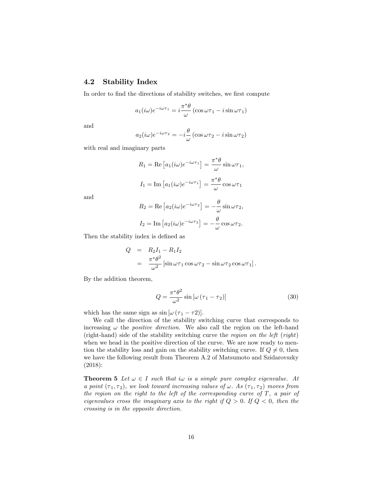## 4.2 Stability Index

In order to find the directions of stability switches, we first compute

$$
a_1(i\omega)e^{-i\omega\tau_1} = i\frac{\pi^*\theta}{\omega}(\cos\omega\tau_1 - i\sin\omega\tau_1)
$$

and

$$
a_2(i\omega)e^{-i\omega\tau_2} = -i\frac{\theta}{\omega}(\cos\omega\tau_2 - i\sin\omega\tau_2)
$$

with real and imaginary parts

$$
R_1 = \text{Re}\left[a_1(i\omega)e^{-i\omega\tau_1}\right] = \frac{\pi^*\theta}{\omega}\sin\omega\tau_1,
$$
  

$$
I_1 = \text{Im}\left[a_1(i\omega)e^{-i\omega\tau_1}\right] = \frac{\pi^*\theta}{\omega}\cos\omega\tau_1
$$

and

$$
R_2 = \text{Re}\left[a_2(i\omega)e^{-i\omega\tau_2}\right] = -\frac{\theta}{\omega}\sin\omega\tau_2,
$$
  

$$
I_2 = \text{Im}\left[a_2(i\omega)e^{-i\omega\tau_2}\right] = -\frac{\theta}{\omega}\cos\omega\tau_2.
$$

Then the stability index is defined as

$$
Q = R_2 I_1 - R_1 I_2
$$
  
= 
$$
\frac{\pi^* \theta^2}{\omega^2} [\sin \omega \tau_1 \cos \omega \tau_2 - \sin \omega \tau_2 \cos \omega \tau_1].
$$

By the addition theorem,

$$
Q = \frac{\pi^* \theta^2}{\omega^2} \sin \left[ \omega \left( \tau_1 - \tau_2 \right) \right] \tag{30}
$$

which has the same sign as  $\sin [\omega (\tau_1 - \tau_2)].$ 

We call the direction of the stability switching curve that corresponds to increasing  $\omega$  the *positive direction*. We also call the region on the left-hand (right-hand) side of the stability switching curve the region on the left (right) when we head in the positive direction of the curve. We are now ready to mention the stability loss and gain on the stability switching curve. If  $Q \neq 0$ , then we have the following result from Theorem A.2 of Matsumoto and Szidarovszky (2018):

**Theorem 5** Let  $\omega \in I$  such that i $\omega$  is a simple pure complex eigenvalue. At a point  $(\tau_1, \tau_2)$ , we look toward increasing values of  $\omega$ . As  $(\tau_1, \tau_2)$  moves from the region on the right to the left of the corresponding curve of  $T$ , a pair of eigenvalues cross the imaginary axis to the right if  $Q > 0$ . If  $Q < 0$ , then the crossing is in the opposite direction.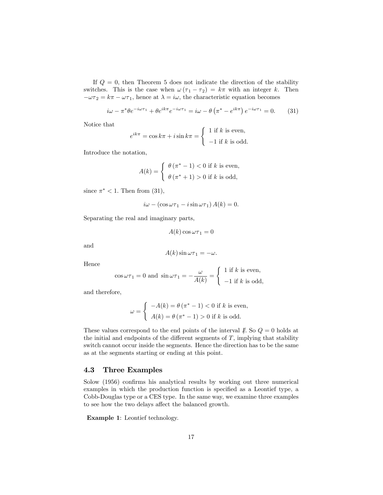If  $Q = 0$ , then Theorem 5 does not indicate the direction of the stability switches. This is the case when  $\omega(\tau_1 - \tau_2) = k\pi$  with an integer k. Then  $-\omega\tau_2 = k\pi - \omega\tau_1$ , hence at  $\lambda = i\omega$ , the characteristic equation becomes

$$
i\omega - \pi^* \theta e^{-i\omega \tau_1} + \theta e^{ik\pi} e^{-i\omega \tau_1} = i\omega - \theta \left(\pi^* - e^{ik\pi}\right) e^{-i\omega \tau_1} = 0. \tag{31}
$$

Notice that

$$
e^{ik\pi} = \cos k\pi + i\sin k\pi = \begin{cases} 1 \text{ if } k \text{ is even,} \\ -1 \text{ if } k \text{ is odd.} \end{cases}
$$

Introduce the notation,

$$
A(k) = \begin{cases} \theta(\pi^* - 1) < 0 \text{ if } k \text{ is even,} \\ \theta(\pi^* + 1) > 0 \text{ if } k \text{ is odd,} \end{cases}
$$

since  $\pi^*$  < 1. Then from (31),

$$
i\omega - (\cos \omega \tau_1 - i \sin \omega \tau_1) A(k) = 0.
$$

Separating the real and imaginary parts,

$$
A(k)\cos\omega\tau_1=0
$$

and

$$
A(k)\sin \omega \tau_1 = -\omega.
$$

Hence

$$
\cos \omega \tau_1 = 0
$$
 and  $\sin \omega \tau_1 = -\frac{\omega}{A(k)} = \begin{cases} 1 \text{ if } k \text{ is even,} \\ -1 \text{ if } k \text{ is odd,} \end{cases}$ 

and therefore,

$$
\omega = \begin{cases}\n-A(k) = \theta (\pi^* - 1) < 0 \text{ if } k \text{ is even,} \\
A(k) = \theta (\pi^* - 1) > 0 \text{ if } k \text{ is odd.}\n\end{cases}
$$

These values correspond to the end points of the interval  $\mathbb{I}$ . So  $\mathcal{Q} = 0$  holds at the initial and endpoints of the different segments of  $T$ , implying that stability switch cannot occur inside the segments. Hence the direction has to be the same as at the segments starting or ending at this point.

#### 4.3 Three Examples

Solow (1956) confirms his analytical results by working out three numerical examples in which the production function is specified as a Leontief type, a Cobb-Douglas type or a CES type. In the same way, we examine three examples to see how the two delays affect the balanced growth.

Example 1: Leontief technology.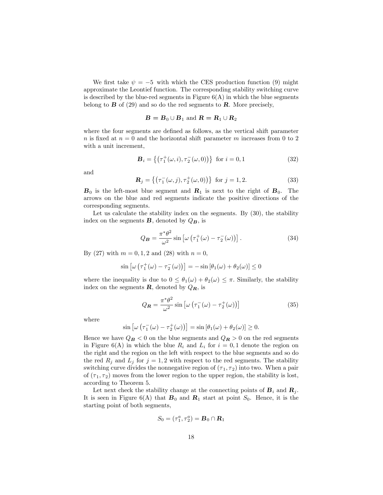We first take  $\psi = -5$  with which the CES production function (9) might approximate the Leontief function. The corresponding stability switching curve is described by the blue-red segments in Figure  $6(A)$  in which the blue segments belong to  $\bf{B}$  of (29) and so do the red segments to  $\bf{R}$ . More precisely,

#### $\mathbf{B} = \mathbf{B}_0 \cup \mathbf{B}_1$  and  $\mathbf{R} = \mathbf{R}_1 \cup \mathbf{R}_2$

where the four segments are defined as follows, as the vertical shift parameter n is fixed at  $n = 0$  and the horizontal shift parameter m increases from 0 to 2 with a unit increment,

$$
\mathbf{B}_{i} = \{ (\tau_{1}^{+}(\omega, i), \tau_{2}^{-}(\omega, 0)) \} \text{ for } i = 0, 1
$$
 (32)

and

$$
\mathbf{R}_{j} = \{ (\tau_{1}^{-}(\omega, j), \tau_{2}^{+}(\omega, 0)) \} \text{ for } j = 1, 2.
$$
 (33)

 $\mathbf{B}_0$  is the left-most blue segment and  $\mathbf{R}_1$  is next to the right of  $\mathbf{B}_0$ . The arrows on the blue and red segments indicate the positive directions of the corresponding segments.

Let us calculate the stability index on the segments. By  $(30)$ , the stability index on the segments  $\bf{B}$ , denoted by  $Q_{\bf{B}}$ , is

$$
Q_B = \frac{\pi^* \theta^2}{\omega^2} \sin \left[ \omega \left( \tau_1^+(\omega) - \tau_2^-(\omega) \right) \right]. \tag{34}
$$

By (27) with  $m = 0, 1, 2$  and (28) with  $n = 0$ ,

$$
\sin \left[\omega \left(\tau_1^+(\omega) - \tau_2^-(\omega)\right)\right] = -\sin \left[\theta_1(\omega) + \theta_2(\omega)\right] \le 0
$$

where the inequality is due to  $0 \le \theta_1(\omega) + \theta_2(\omega) \le \pi$ . Similarly, the stability index on the segments  $\bf{R}$ , denoted by  $Q_{\bf{R}}$ , is

$$
Q_{\mathbf{R}} = \frac{\pi^* \theta^2}{\omega^2} \sin \left[ \omega \left( \tau_1^-(\omega) - \tau_2^+(\omega) \right) \right] \tag{35}
$$

where

$$
\sin \left[\omega \left(\tau_1^-(\omega) - \tau_2^+(\omega)\right)\right] = \sin \left[\theta_1(\omega) + \theta_2(\omega)\right] \ge 0.
$$

Hence we have  $Q_B < 0$  on the blue segments and  $Q_R > 0$  on the red segments in Figure 6(A) in which the blue  $R_i$  and  $L_i$  for  $i = 0, 1$  denote the region on the right and the region on the left with respect to the blue segments and so do the red  $R_j$  and  $L_j$  for  $j = 1, 2$  with respect to the red segments. The stability switching curve divides the nonnegative region of  $(\tau_1, \tau_2)$  into two. When a pair of  $(\tau_1, \tau_2)$  moves from the lower region to the upper region, the stability is lost, according to Theorem 5.

Let next check the stability change at the connecting points of  $\mathbf{B}_i$  and  $\mathbf{R}_i$ . It is seen in Figure 6(A) that  $\mathbf{B}_0$  and  $\mathbf{R}_1$  start at point  $S_0$ . Hence, it is the starting point of both segments,

$$
S_0=(\tau_1^a,\tau_2^a)=\boldsymbol{B}_0\cap \boldsymbol{R}_1
$$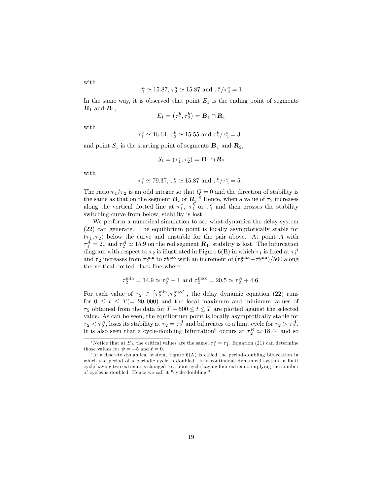$$
\tau_1^a \simeq 15.87, \tau_2^a \simeq 15.87 \text{ and } \tau_1^a/\tau_2^a = 1.
$$

In the same way, it is observed that point  $E_1$  is the ending point of segments  $\mathbf{B}_1$  and  $\mathbf{R}_1$ ,

$$
E_1 = \left(\tau_1^b, \tau_2^b\right) = \mathbf{B}_1 \cap \mathbf{R}_1
$$

with

$$
\tau_1^b \simeq 46.64, \tau_2^b \simeq 15.55
$$
 and  $\tau_1^b/\tau_2^b = 3$ .

and point  $S_1$  is the starting point of segments  $\mathbf{B}_1$  and  $\mathbf{R}_2$ ,

$$
S_1=(\tau_1^c,\tau_2^c)=\mathbf{B}_1\cap\mathbf{R}_2
$$

with

$$
\tau_1^c \simeq 79.37,\, \tau_2^c \simeq 15.87
$$
 and  $\tau_1^c/\tau_2^c=5.$ 

The ratio  $\tau_1/\tau_2$  is an odd integer so that  $Q = 0$  and the direction of stability is the same as that on the segment  $B_i$  or  $R_j$ .<sup>8</sup> Hence, when a value of  $\tau_2$  increases along the vertical dotted line at  $\tau_1^a$ ,  $\tau_1^b$  or  $\tau_1^c$  and then crosses the stability switching curve from below, stability is lost.

We perform a numerical simulation to see what dynamics the delay system (22) can generate. The equilibrium point is locally asymptotically stable for  $(\tau_1, \tau_2)$  below the curve and unstable for the pair above. At point A with  $\tau_1^A = 20$  and  $\tau_2^A \simeq 15.9$  on the red segment  $\mathbf{R}_1$ , stability is lost. The bifurcation diagram with respect to  $\tau_2$  is illustrated in Figure 6(B) in which  $\tau_1$  is fixed at  $\tau_1^A$ and  $\tau_2$  increases from  $\tau_2^{\min}$  to  $\tau_2^{\max}$  with an increment of  $(\tau_2^{\max} - \tau_2^{\min})/500$  along the vertical dotted black line where

$$
\tau_2^{\min} = 14.9 \simeq \tau_2^A - 1 \text{ and } \tau_2^{\max} = 20.5 \simeq \tau_2^A + 4.6.
$$

For each value of  $\tau_2 \in \left[\tau_2^{\min}, \tau_2^{\max}\right]$ , the delay dynamic equation (22) runs for  $0 \le t \le T(= 20,000)$  and the local maximum and minimum values of  $\tau_2$  obtained from the data for  $T - 500 \le t \le T$  are plotted against the selected value. As can be seen, the equilibrium point is locally asymptotically stable for  $\tau_2 < \tau_2^A$ , loses its stability at  $\tau_2 = \tau_2^A$  and bifurcates to a limit cycle for  $\tau_2 > \tau_2^A$ . It is also seen that a cycle-doubling bifurcation<sup>9</sup> occurs at  $\tau_2^B \simeq 18.44$  and so

with

<sup>&</sup>lt;sup>8</sup>Notice that at  $S_0$ , the critical values are the same,  $\tau_1^a = \tau_1^a$ . Equation (21) can determine those values for  $\psi = -5$  and  $\ell = 0$ .

 $9 \text{ In a discrete dynamical system, Figure 6(A) is called the period-doubling bifurcation in }$ which the period of a periodic cycle is doubled. In a continuous dynamical system, a limit cycle having two extrema is changed to a limit cycle having four extrema, implying the number of cycles is doubled. Hence we call it "cycle-doubling."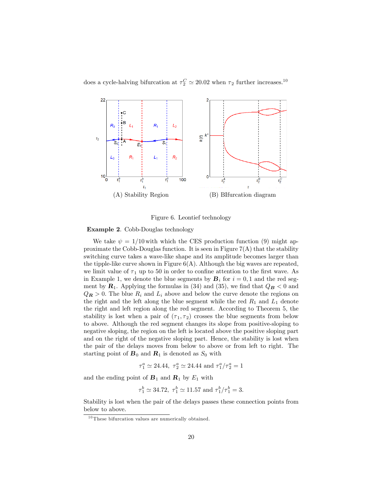does a cycle-halving bifurcation at  $\tau_2^C \simeq 20.02$  when  $\tau_2$  further increases.<sup>10</sup>



Figure 6. Leontief technology

#### Example 2. Cobb-Douglas technology

We take  $\psi = 1/10$  with which the CES production function (9) might approximate the Cobb-Douglas function. It is seen in Figure  $7(A)$  that the stability switching curve takes a wave-like shape and its amplitude becomes larger than the tipple-like curve shown in Figure  $6(A)$ . Although the big waves are repeated, we limit value of  $\tau_1$  up to 50 in order to confine attention to the first wave. As in Example 1, we denote the blue segments by  $B_i$  for  $i = 0, 1$  and the red segment by  $\mathbf{R}_1$ . Applying the formulas in (34) and (35), we find that  $Q_B < 0$  and  $Q_R > 0$ . The blue  $R_i$  and  $L_i$  above and below the curve denote the regions on the right and the left along the blue segment while the red  $R_1$  and  $L_1$  denote the right and left region along the red segment. According to Theorem 5, the stability is lost when a pair of  $(\tau_1, \tau_2)$  crosses the blue segments from below to above. Although the red segment changes its slope from positive-sloping to negative sloping, the region on the left is located above the positive sloping part and on the right of the negative sloping part. Hence, the stability is lost when the pair of the delays moves from below to above or from left to right. The starting point of  $\mathbf{B}_0$  and  $\mathbf{R}_1$  is denoted as  $S_0$  with

$$
\tau_1^a \simeq 24.44,\ \tau_2^a \simeq 24.44
$$
 and  $\tau_1^a/\tau_2^a = 1$ 

and the ending point of  $B_1$  and  $R_1$  by  $E_1$  with

$$
\tau_1^b \simeq 34.72
$$
,  $\tau_1^b \simeq 11.57$  and  $\tau_1^b/\tau_1^b = 3$ .

Stability is lost when the pair of the delays passes these connection points from below to above.

 $10$  These bifurcation values are numerically obtained.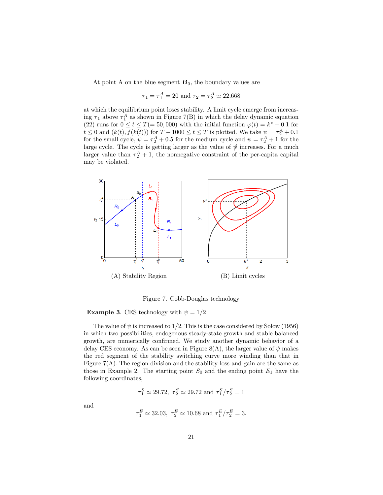At point A on the blue segment  $B_0$ , the boundary values are

$$
\tau_1 = \tau_1^A = 20
$$
 and  $\tau_2 = \tau_2^A \simeq 22.668$ 

at which the equilibrium point loses stability. A limit cycle emerge from increasing  $\tau_1$  above  $\tau_1^A$  as shown in Figure 7(B) in which the delay dynamic equation (22) runs for  $0 \le t \le T(= 50,000)$  with the initial function  $\varphi(t) = k^* - 0.1$  for  $t \leq 0$  and  $(k(t), f(k(t)))$  for  $T - 1000 \leq t \leq T$  is plotted. We take  $\psi = \tau_2^A + 0.1$ for the small cycle,  $\psi = \tau_2^A + 0.5$  for the medium cycle and  $\psi = \tau_2^A + 1$  for the large cycle. The cycle is getting larger as the value of  $\psi$  increases. For a much larger value than  $\tau_2^A + 1$ , the nonnegative constraint of the per-capita capital may be violated.



Figure 7. Cobb-Douglas technology

**Example 3.** CES technology with  $\psi = 1/2$ 

The value of  $\psi$  is increased to 1/2. This is the case considered by Solow (1956) in which two possibilities, endogenous steady-state growth and stable balanced growth, are numerically confirmed. We study another dynamic behavior of a delay CES economy. As can be seen in Figure 8(A), the larger value of  $\psi$  makes the red segment of the stability switching curve more winding than that in Figure  $7(A)$ . The region division and the stability-loss-and-gain are the same as those in Example 2. The starting point  $S_0$  and the ending point  $E_1$  have the following coordinates,

$$
\tau_1^S \simeq 29.72,~\tau_2^S \simeq 29.72
$$
 and  $\tau_1^S/\tau_2^S = 1$ 

and

$$
\tau_1^E \simeq 32.03, \ \tau_2^E \simeq 10.68 \text{ and } \tau_1^E/\tau_2^E = 3.
$$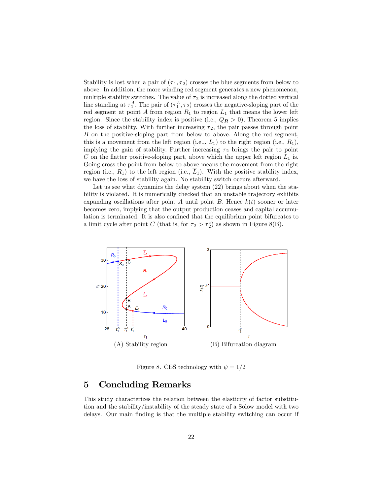Stability is lost when a pair of  $(\tau_1, \tau_2)$  crosses the blue segments from below to above. In addition, the more winding red segment generates a new phenomenon, multiple stability switches. The value of  $\tau_2$  is increased along the dotted vertical line standing at  $\tau_1^A$ . The pair of  $(\tau_1^A, \tau_2)$  crosses the negative-sloping part of the red segment at point A from region  $R_1$  to region  $L_1$  that means the lower left region. Since the stability index is positive (i.e.,  $Q_R > 0$ ), Theorem 5 implies the loss of stability. With further increasing  $\tau_2$ , the pair passes through point B on the positive-sloping part from below to above. Along the red segment, this is a movement from the left region (i.e.,  $\underline{L}_1$ ) to the right region (i.e.,  $R_1$ ), implying the gain of stability. Further increasing  $\tau_2$  brings the pair to point C on the flatter positive-sloping part, above which the upper left region  $\overline{L}_1$  is. Going cross the point from below to above means the movement from the right region (i.e.,  $R_1$ ) to the left region (i.e.,  $\overline{L}_1$ ). With the positive stability index, we have the loss of stability again. No stability switch occurs afterward.

Let us see what dynamics the delay system  $(22)$  brings about when the stability is violated. It is numerically checked that an unstable trajectory exhibits expanding oscillations after point A until point B. Hence  $k(t)$  sooner or later becomes zero, implying that the output production ceases and capital accumulation is terminated. It is also confined that the equilibrium point bifurcates to a limit cycle after point C (that is, for  $\tau_2 > \tau_2^c$ ) as shown in Figure 8(B).



Figure 8. CES technology with  $\psi = 1/2$ 

## 5 Concluding Remarks

This study characterizes the relation between the elasticity of factor substitution and the stability/instability of the steady state of a Solow model with two delays. Our main Önding is that the multiple stability switching can occur if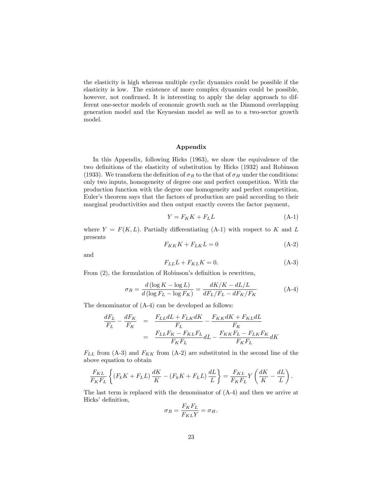the elasticity is high whereas multiple cyclic dynamics could be possible if the elasticity is low. The existence of more complex dynamics could be possible, however, not confirmed. It is interesting to apply the delay approach to different one-sector models of economic growth such as the Diamond overlapping generation model and the Keynesian model as well as to a two-sector growth model.

#### Appendix

In this Appendix, following Hicks (1963), we show the equivalence of the two definitions of the elasticity of substitution by Hicks (1932) and Robinson (1933). We transform the definition of  $\sigma_R$  to the that of  $\sigma_H$  under the conditions: only two inputs, homogeneity of degree one and perfect competition. With the production function with the degree one homogeneity and perfect competition, Euler's theorem says that the factors of production are paid according to their marginal productivities and then output exactly covers the factor payment,

$$
Y = F_K K + F_L L \tag{A-1}
$$

where  $Y = F(K, L)$ . Partially differentiating (A-1) with respect to K and L presents

$$
F_{KK}K + F_{LK}L = 0 \tag{A-2}
$$

and

$$
F_{LL}L + F_{KL}K = 0.\t\t(A-3)
$$

From  $(2)$ , the formulation of Robinson's definition is rewritten,

$$
\sigma_R = \frac{d\left(\log K - \log L\right)}{d\left(\log F_L - \log F_K\right)} = \frac{dK/K - dL/L}{dF_L/F_L - dF_K/F_K} \tag{A-4}
$$

The denominator of (A-4) can be developed as follows:

$$
\frac{dF_L}{F_L} - \frac{dF_K}{F_K} = \frac{F_{LL}dL + F_{LK}dK}{F_L} - \frac{F_{KK}dK + F_{KL}dL}{F_K}
$$
\n
$$
= \frac{F_{LL}F_K - F_{KL}F_L}{F_KF_L}dL - \frac{F_{KK}F_L - F_{LK}F_K}{F_KF_L}dK
$$

 $F_{LL}$  from (A-3) and  $F_{KK}$  from (A-2) are substituted in the second line of the above equation to obtain

$$
\frac{F_{KL}}{F_K F_L} \left\{ (F_k K + F_L L) \frac{dK}{K} - (F_k K + F_L L) \frac{dL}{L} \right\} = \frac{F_{KL}}{F_K F_L} Y \left( \frac{dK}{K} - \frac{dL}{L} \right).
$$

The last term is replaced with the denominator of (A-4) and then we arrive at Hicks' definition,

$$
\sigma_R = \frac{F_K F_L}{F_{KL} Y} = \sigma_H.
$$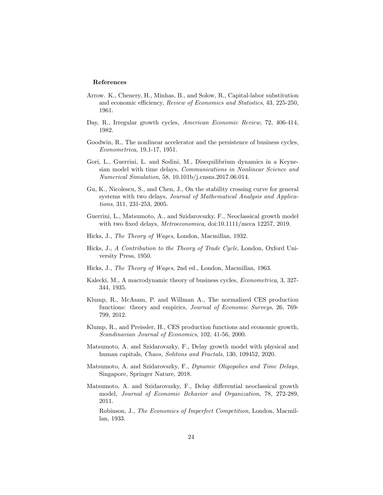#### References

- Arrow. K., Chenery, H., Minhas, B., and Solow, R., Capital-labor substitution and economic efficiency, Review of Economics and Statistics, 43, 225-250, 1961.
- Day, R., Irregular growth cycles, American Economic Review, 72, 406-414, 1982.
- Goodwin, R., The nonlinear accelerator and the persistence of business cycles, Econometrica, 19,1-17, 1951.
- Gori, L., Guerrini, L. and Sodini, M., Disequilibrium dynamics in a Keynesian model with time delays, Communications in Nonlinear Science and Numerical Simulation, 58, 10.101b/j.cnsns.2017.06.014.
- Gu, K., Nicolescu, S., and Chen, J., On the stability crossing curve for general systems with two delays, Journal of Mathematical Analysis and Applications, 311, 231-253, 2005.
- Guerrini, L., Matsumoto, A., and Szidarovszky, F., Neoclassical growth model with two fixed delays, *Metroeconomica*, doi:10.1111/meca 12257, 2019.
- Hicks, J., The Theory of Wages, London, Macmillan, 1932.
- Hicks, J., A Contribution to the Theory of Trade Cycle, London, Oxford University Press, 1950.
- Hicks, J., The Theory of Wages, 2nd ed., London, Macmillan, 1963.
- Kalecki, M., A macrodynamic theory of business cycles, Econometrica, 3, 327- 344, 1935.
- Klump, R., McAsam, P. and Willman A., The normalized CES production functions: theory and empirics, *Journal of Economic Surveys*, 26, 769-799, 2012.
- Klump, R., and Preissler, H., CES production functions and economic growth, Scandinavian Journal of Economics, 102, 41-56, 2000.
- Matsumoto, A. and Szidarovszky, F., Delay growth model with physical and human capitals, Chaos, Solitons and Fractals, 130, 109452, 2020.
- Matsumoto, A. and Szidarovszky, F., Dynamic Oligopolies and Time Delays, Singapore, Springer Nature, 2018.
- Matsumoto, A. and Szidarovszky, F., Delay differential neoclassical growth model, Journal of Economic Behavior and Organization, 78, 272-289, 2011.

Robinson, J., The Economics of Imperfect Competition, London, Macmillan, 1933.